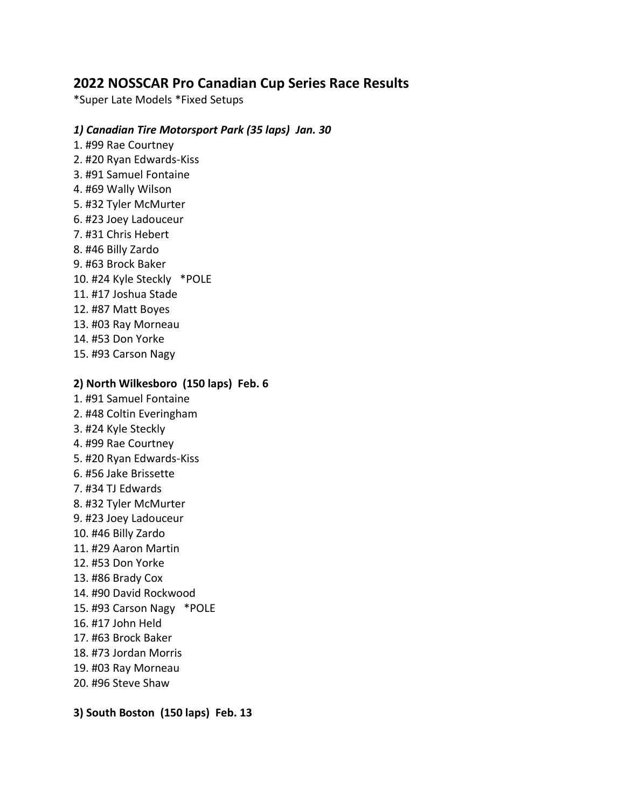# **2022 NOSSCAR Pro Canadian Cup Series Race Results**

\*Super Late Models \*Fixed Setups

### *1) Canadian Tire Motorsport Park (35 laps) Jan. 30*

1. #99 Rae Courtney 2. #20 Ryan Edwards-Kiss 3. #91 Samuel Fontaine 4. #69 Wally Wilson 5. #32 Tyler McMurter 6. #23 Joey Ladouceur 7. #31 Chris Hebert 8. #46 Billy Zardo 9. #63 Brock Baker 10. #24 Kyle Steckly \*POLE 11. #17 Joshua Stade 12. #87 Matt Boyes 13. #03 Ray Morneau 14. #53 Don Yorke 15. #93 Carson Nagy

## **2) North Wilkesboro (150 laps) Feb. 6**

- 1. #91 Samuel Fontaine 2. #48 Coltin Everingham
- 3. #24 Kyle Steckly
- 4. #99 Rae Courtney
- 5. #20 Ryan Edwards-Kiss
- 6. #56 Jake Brissette
- 7. #34 TJ Edwards
- 8. #32 Tyler McMurter
- 9. #23 Joey Ladouceur
- 10. #46 Billy Zardo
- 11. #29 Aaron Martin
- 12. #53 Don Yorke
- 13. #86 Brady Cox
- 14. #90 David Rockwood
- 15. #93 Carson Nagy \*POLE
- 16. #17 John Held
- 17. #63 Brock Baker
- 18. #73 Jordan Morris
- 19. #03 Ray Morneau
- 20. #96 Steve Shaw

**3) South Boston (150 laps) Feb. 13**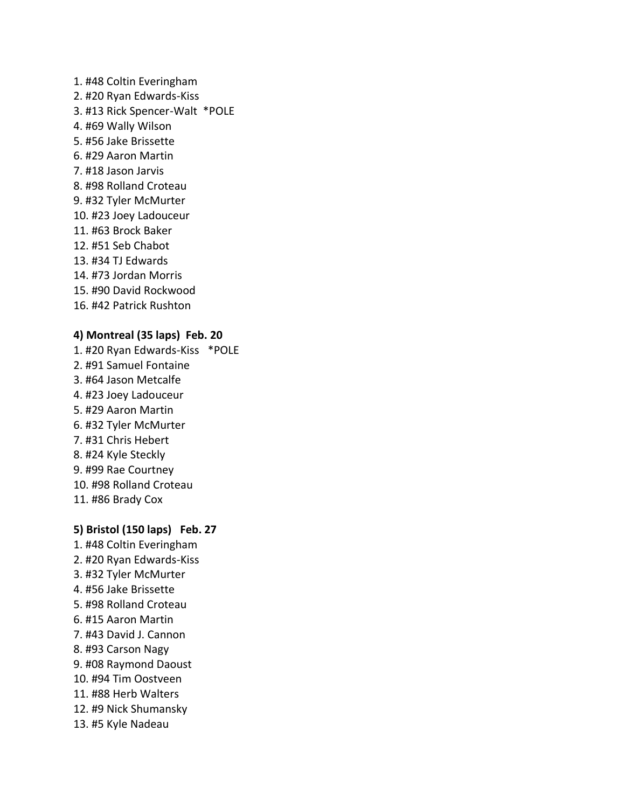1. #48 Coltin Everingham 2. #20 Ryan Edwards-Kiss 3. #13 Rick Spencer-Walt \*POLE 4. #69 Wally Wilson 5. #56 Jake Brissette 6. #29 Aaron Martin 7. #18 Jason Jarvis 8. #98 Rolland Croteau 9. #32 Tyler McMurter 10. #23 Joey Ladouceur 11. #63 Brock Baker 12. #51 Seb Chabot 13. #34 TJ Edwards 14. #73 Jordan Morris 15. #90 David Rockwood 16. #42 Patrick Rushton

#### **4) Montreal (35 laps) Feb. 20**

1. #20 Ryan Edwards-Kiss \*POLE 2. #91 Samuel Fontaine 3. #64 Jason Metcalfe 4. #23 Joey Ladouceur 5. #29 Aaron Martin 6. #32 Tyler McMurter 7. #31 Chris Hebert 8. #24 Kyle Steckly 9. #99 Rae Courtney 10. #98 Rolland Croteau 11. #86 Brady Cox

#### **5) Bristol (150 laps) Feb. 27**

1. #48 Coltin Everingham 2. #20 Ryan Edwards-Kiss 3. #32 Tyler McMurter 4. #56 Jake Brissette 5. #98 Rolland Croteau 6. #15 Aaron Martin 7. #43 David J. Cannon 8. #93 Carson Nagy 9. #08 Raymond Daoust 10. #94 Tim Oostveen 11. #88 Herb Walters 12. #9 Nick Shumansky 13. #5 Kyle Nadeau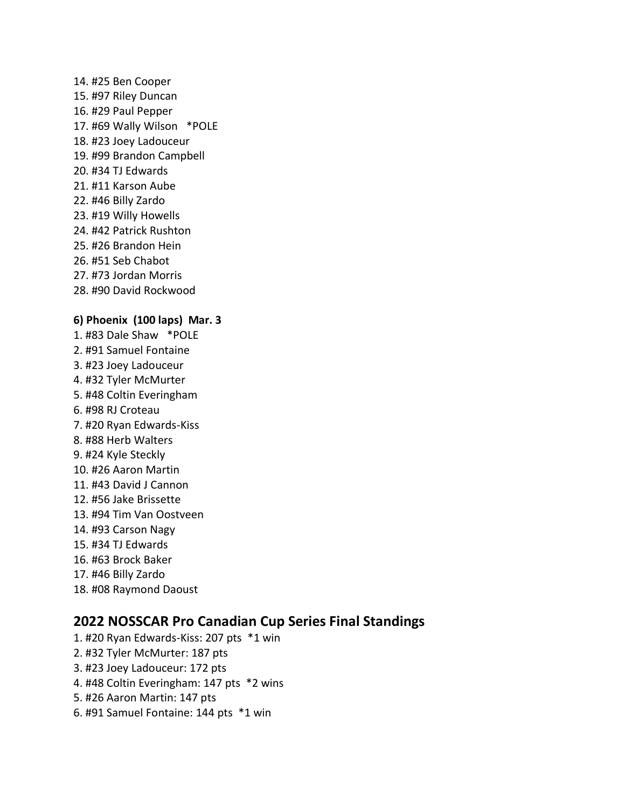14. #25 Ben Cooper 15. #97 Riley Duncan 16. #29 Paul Pepper 17. #69 Wally Wilson \*POLE 18. #23 Joey Ladouceur 19. #99 Brandon Campbell 20. #34 TJ Edwards 21. #11 Karson Aube 22. #46 Billy Zardo 23. #19 Willy Howells 24. #42 Patrick Rushton 25. #26 Brandon Hein 26. #51 Seb Chabot 27. #73 Jordan Morris 28. #90 David Rockwood **6) Phoenix (100 laps) Mar. 3** 1. #83 Dale Shaw \*POLE 2. #91 Samuel Fontaine 3. #23 Joey Ladouceur 4. #32 Tyler McMurter 5. #48 Coltin Everingham 6. #98 RJ Croteau 7. #20 Ryan Edwards-Kiss 8. #88 Herb Walters 9. #24 Kyle Steckly 10. #26 Aaron Martin 11. #43 David J Cannon 12. #56 Jake Brissette 13. #94 Tim Van Oostveen 14. #93 Carson Nagy 15. #34 TJ Edwards 16. #63 Brock Baker 17. #46 Billy Zardo

**2022 NOSSCAR Pro Canadian Cup Series Final Standings** 1. #20 Ryan Edwards-Kiss: 207 pts \*1 win 2. #32 Tyler McMurter: 187 pts 3. #23 Joey Ladouceur: 172 pts 4. #48 Coltin Everingham: 147 pts \*2 wins 5. #26 Aaron Martin: 147 pts 6. #91 Samuel Fontaine: 144 pts \*1 win

18. #08 Raymond Daoust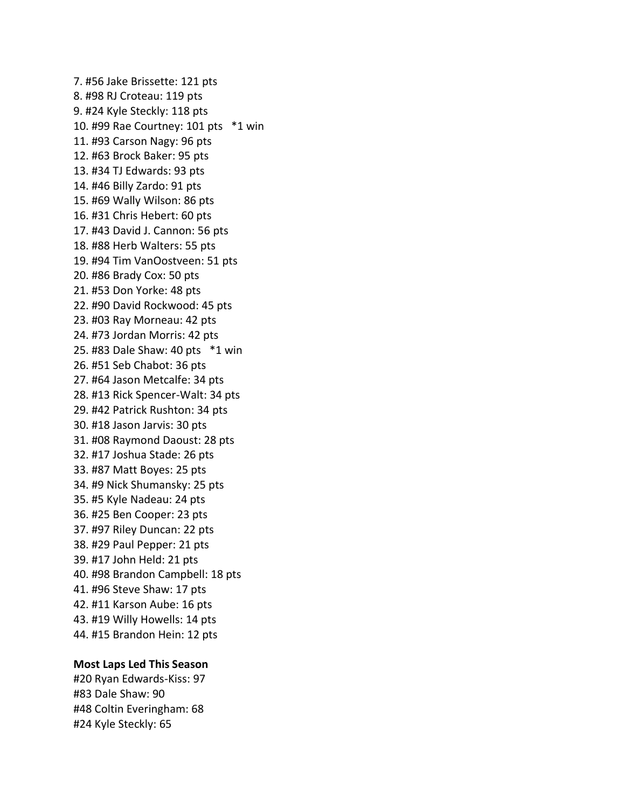7. #56 Jake Brissette: 121 pts 8. #98 RJ Croteau: 119 pts 9. #24 Kyle Steckly: 118 pts 10. #99 Rae Courtney: 101 pts \*1 win 11. #93 Carson Nagy: 96 pts 12. #63 Brock Baker: 95 pts 13. #34 TJ Edwards: 93 pts 14. #46 Billy Zardo: 91 pts 15. #69 Wally Wilson: 86 pts 16. #31 Chris Hebert: 60 pts 17. #43 David J. Cannon: 56 pts 18. #88 Herb Walters: 55 pts 19. #94 Tim VanOostveen: 51 pts 20. #86 Brady Cox: 50 pts 21. #53 Don Yorke: 48 pts 22. #90 David Rockwood: 45 pts 23. #03 Ray Morneau: 42 pts 24. #73 Jordan Morris: 42 pts 25. #83 Dale Shaw: 40 pts \*1 win 26. #51 Seb Chabot: 36 pts 27. #64 Jason Metcalfe: 34 pts 28. #13 Rick Spencer-Walt: 34 pts 29. #42 Patrick Rushton: 34 pts 30. #18 Jason Jarvis: 30 pts 31. #08 Raymond Daoust: 28 pts 32. #17 Joshua Stade: 26 pts 33. #87 Matt Boyes: 25 pts 34. #9 Nick Shumansky: 25 pts 35. #5 Kyle Nadeau: 24 pts 36. #25 Ben Cooper: 23 pts 37. #97 Riley Duncan: 22 pts 38. #29 Paul Pepper: 21 pts 39. #17 John Held: 21 pts 40. #98 Brandon Campbell: 18 pts 41. #96 Steve Shaw: 17 pts 42. #11 Karson Aube: 16 pts 43. #19 Willy Howells: 14 pts 44. #15 Brandon Hein: 12 pts

#### **Most Laps Led This Season**

#20 Ryan Edwards-Kiss: 97 #83 Dale Shaw: 90 #48 Coltin Everingham: 68 #24 Kyle Steckly: 65